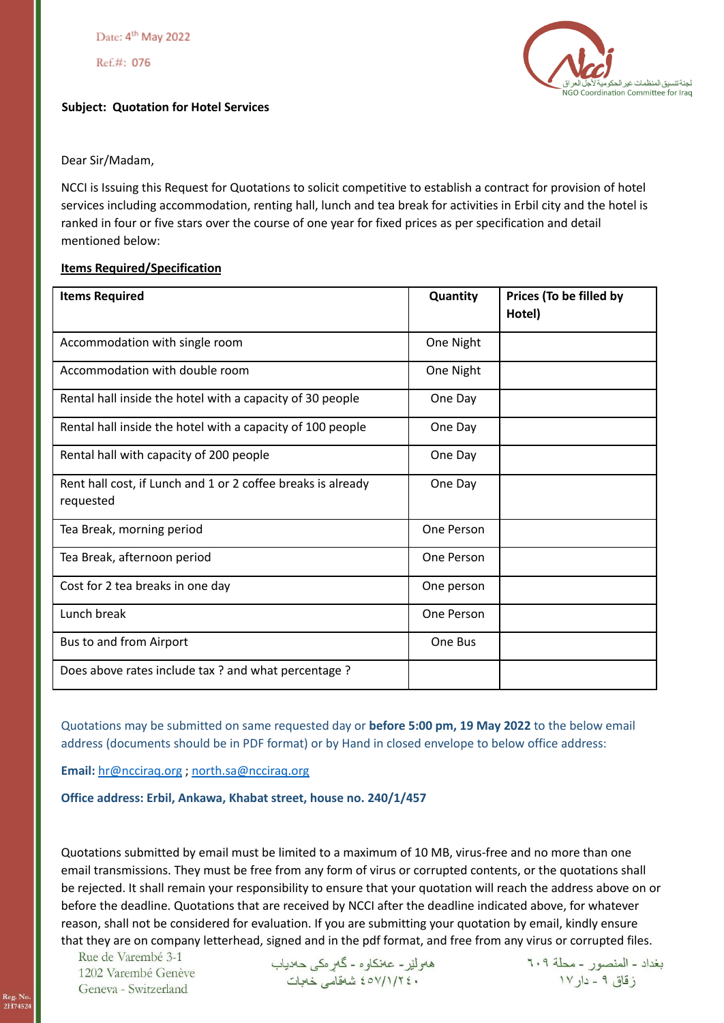Date: 4<sup>th</sup> May 2022

Ref.#: 076

## **Subject: Quotation for Hotel Services**

لجنة تنسيق المنظمات غير الحكوم NGO Coordination Committee for Iraq

Dear Sir/Madam,

NCCI is Issuing this Request for Quotations to solicit competitive to establish a contract for provision of hotel services including accommodation, renting hall, lunch and tea break for activities in Erbil city and the hotel is ranked in four or five stars over the course of one year for fixed prices as per specification and detail mentioned below:

## **Items Required/Specification**

| <b>Items Required</b>                                                     | Quantity   | Prices (To be filled by<br>Hotel) |
|---------------------------------------------------------------------------|------------|-----------------------------------|
| Accommodation with single room                                            | One Night  |                                   |
| Accommodation with double room                                            | One Night  |                                   |
| Rental hall inside the hotel with a capacity of 30 people                 | One Day    |                                   |
| Rental hall inside the hotel with a capacity of 100 people                | One Day    |                                   |
| Rental hall with capacity of 200 people                                   | One Day    |                                   |
| Rent hall cost, if Lunch and 1 or 2 coffee breaks is already<br>requested | One Day    |                                   |
| Tea Break, morning period                                                 | One Person |                                   |
| Tea Break, afternoon period                                               | One Person |                                   |
| Cost for 2 tea breaks in one day                                          | One person |                                   |
| Lunch break                                                               | One Person |                                   |
| Bus to and from Airport                                                   | One Bus    |                                   |
| Does above rates include tax? and what percentage?                        |            |                                   |

Quotations may be submitted on same requested day or **before 5:00 pm, 19 May 2022** to the below email address (documents should be in PDF format) or by Hand in closed envelope to below office address:

**Email:** [hr@ncciraq.org](mailto:hr@ncciraq.org) ; [north.sa@ncciraq.org](mailto:north.sa@ncciraq.org)

**Office address: Erbil, Ankawa, Khabat street, house no. 240/1/457**

Quotations submitted by email must be limited to a maximum of 10 MB, virus-free and no more than one email transmissions. They must be free from any form of virus or corrupted contents, or the quotations shall be rejected. It shall remain your responsibility to ensure that your quotation will reach the address above on or before the deadline. Quotations that are received by NCCI after the deadline indicated above, for whatever reason, shall not be considered for evaluation. If you are submitting your quotation by email, kindly ensure that they are on company letterhead, signed and in the pdf format, and free from any virus or corrupted files.

Rue de Varembé 3-1 1202 Varembé Genève Geneva - Switzerland

ههولير- عهنكاوه - كَهرهكي حهدياب ٤٥٧/١/٢٤٠ شَهْقَامِهِ خَلَالَت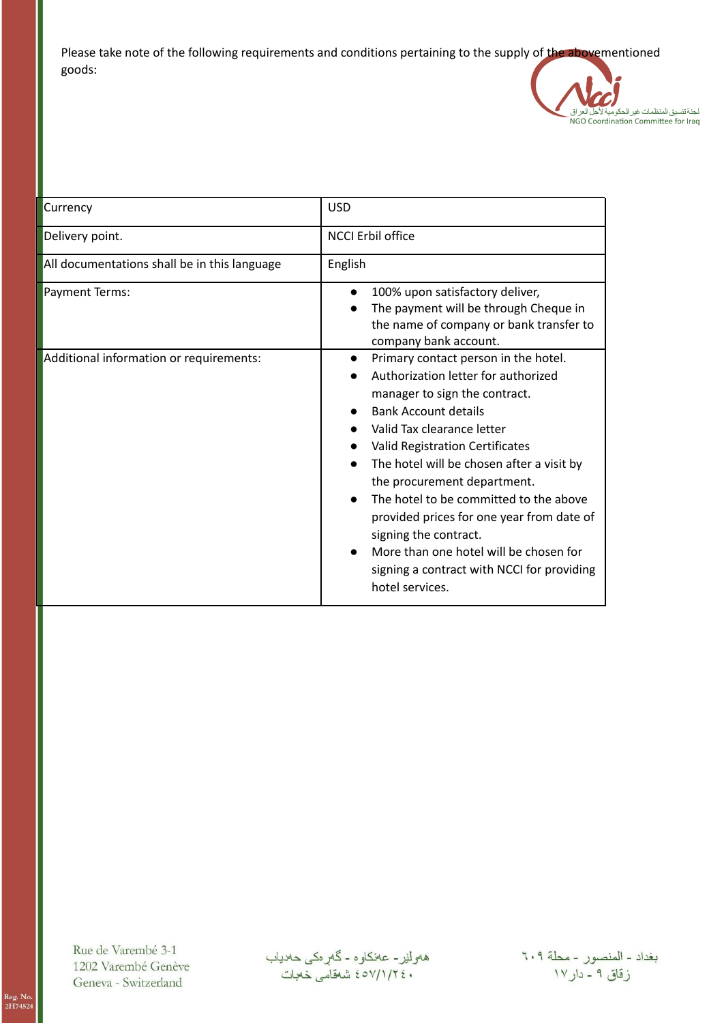Please take note of the following requirements and conditions pertaining to the supply of the abovementioned goods:



| Currency                                     | <b>USD</b>                                                                                                                                                                                                                                                                                                                                                                                                                                                                                                                       |  |
|----------------------------------------------|----------------------------------------------------------------------------------------------------------------------------------------------------------------------------------------------------------------------------------------------------------------------------------------------------------------------------------------------------------------------------------------------------------------------------------------------------------------------------------------------------------------------------------|--|
| Delivery point.                              | <b>NCCI Erbil office</b>                                                                                                                                                                                                                                                                                                                                                                                                                                                                                                         |  |
| All documentations shall be in this language | English                                                                                                                                                                                                                                                                                                                                                                                                                                                                                                                          |  |
| Payment Terms:                               | 100% upon satisfactory deliver,<br>The payment will be through Cheque in<br>the name of company or bank transfer to<br>company bank account.                                                                                                                                                                                                                                                                                                                                                                                     |  |
| Additional information or requirements:      | Primary contact person in the hotel.<br>$\bullet$<br>Authorization letter for authorized<br>manager to sign the contract.<br><b>Bank Account details</b><br>Valid Tax clearance letter<br>Valid Registration Certificates<br>The hotel will be chosen after a visit by<br>the procurement department.<br>The hotel to be committed to the above<br>provided prices for one year from date of<br>signing the contract.<br>More than one hotel will be chosen for<br>signing a contract with NCCI for providing<br>hotel services. |  |

Rue de Varembé 3-1 1202 Varembé Genève Geneva - Switzerland

هەولێر- عەنكاوە - گەرەكى حەدياب<br>٤٥٧/١/٢٤٠ شەقامى خەبات

بغداد - المنصور - محلة ٦٠٩<br>زقاق ٩ - دار ١٧